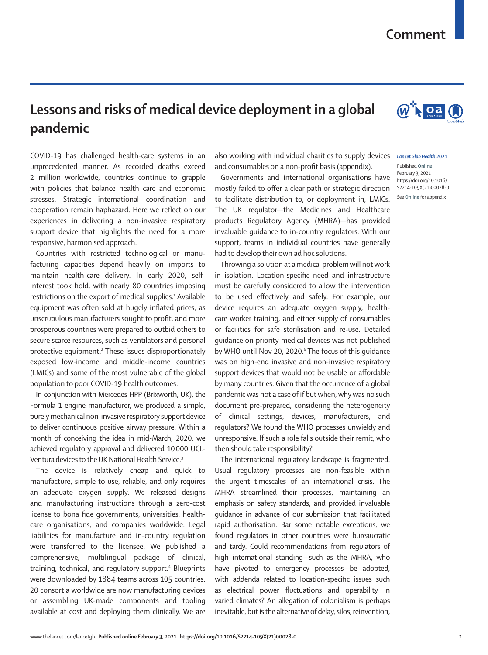## **Comment**

## **Lessons and risks of medical device deployment in a global pandemic**

COVID-19 has challenged health-care systems in an unprecedented manner. As recorded deaths exceed 2 million worldwide, countries continue to grapple with policies that balance health care and economic stresses. Strategic international coordination and cooperation remain haphazard. Here we reflect on our experiences in delivering a non-invasive respiratory support device that highlights the need for a more responsive, harmonised approach.

Countries with restricted technological or manufacturing capacities depend heavily on imports to maintain health-care delivery. In early 2020, selfinterest took hold, with nearly 80 countries imposing restrictions on the export of medical supplies.<sup>1</sup> Available equipment was often sold at hugely inflated prices, as unscrupulous manufacturers sought to profit, and more prosperous countries were prepared to outbid others to secure scarce resources, such as ventilators and personal protective equipment.<sup>2</sup> These issues disproportionately exposed low-income and middle-income countries (LMICs) and some of the most vulnerable of the global population to poor COVID-19 health outcomes.

In conjunction with Mercedes HPP (Brixworth, UK), the Formula 1 engine manufacturer, we produced a simple, purely mechanical non-invasive respiratory support device to deliver continuous positive airway pressure. Within a month of conceiving the idea in mid-March, 2020, we achieved regulatory approval and delivered 10000 UCL-Ventura devices to the UK National Health Service.3

The device is relatively cheap and quick to manufacture, simple to use, reliable, and only requires an adequate oxygen supply. We released designs and manufacturing instructions through a zero-cost license to bona fide governments, universities, healthcare organisations, and companies worldwide. Legal liabilities for manufacture and in-country regulation were transferred to the licensee. We published a comprehensive, multilingual package of clinical, training, technical, and regulatory support.4 Blueprints were downloaded by 1884 teams across 105 countries. 20 consortia worldwide are now manufacturing devices or assembling UK-made components and tooling available at cost and deploying them clinically. We are also working with individual charities to supply devices and consumables on a non-profit basis (appendix).

Governments and international organisations have mostly failed to offer a clear path or strategic direction to facilitate distribution to, or deployment in, LMICs. The UK regulator—the Medicines and Healthcare products Regulatory Agency (MHRA)—has provided invaluable guidance to in-country regulators. With our support, teams in individual countries have generally had to develop their own ad hoc solutions.

Throwing a solution at a medical problem will not work in isolation. Location-specific need and infrastructure must be carefully considered to allow the intervention to be used effectively and safely. For example, our device requires an adequate oxygen supply, healthcare worker training, and either supply of consumables or facilities for safe sterilisation and re-use. Detailed guidance on priority medical devices was not published by WHO until Nov 20, 2020.<sup>6</sup> The focus of this guidance was on high-end invasive and non-invasive respiratory support devices that would not be usable or affordable by many countries. Given that the occurrence of a global pandemic was not a case of if but when, why was no such document pre-prepared, considering the heterogeneity of clinical settings, devices, manufacturers, and regulators? We found the WHO processes unwieldy and unresponsive. If such a role falls outside their remit, who then should take responsibility?

The international regulatory landscape is fragmented. Usual regulatory processes are non-feasible within the urgent timescales of an international crisis. The MHRA streamlined their processes, maintaining an emphasis on safety standards, and provided invaluable guidance in advance of our submission that facilitated rapid authorisation. Bar some notable exceptions, we found regulators in other countries were bureaucratic and tardy. Could recommendations from regulators of high international standing—such as the MHRA, who have pivoted to emergency processes—be adopted, with addenda related to location-specific issues such as electrical power fluctuations and operability in varied climates? An allegation of colonialism is perhaps inevitable, but is the alternative of delay, silos, reinvention,

## *Lancet Glob Health* **2021**

Published **Online** February 3, 2021 https://doi.org/10.1016/ S2214-109X(21)00028-0 See **Online** for appendix